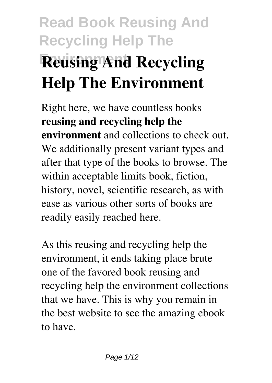# **Read Book Reusing And Recycling Help The Reusing And Recycling Help The Environment**

Right here, we have countless books **reusing and recycling help the environment** and collections to check out. We additionally present variant types and after that type of the books to browse. The within acceptable limits book, fiction, history, novel, scientific research, as with ease as various other sorts of books are readily easily reached here.

As this reusing and recycling help the environment, it ends taking place brute one of the favored book reusing and recycling help the environment collections that we have. This is why you remain in the best website to see the amazing ebook to have.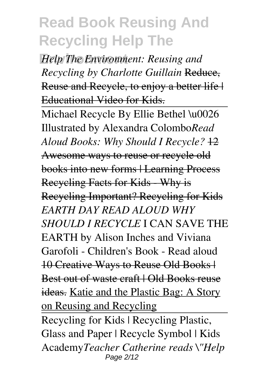*Help The Environment: Reusing and Recycling by Charlotte Guillain* Reduce, Reuse and Recycle, to enjoy a better life | Educational Video for Kids.

Michael Recycle By Ellie Bethel \u0026 Illustrated by Alexandra Colombo*Read Aloud Books: Why Should I Recycle?*  $\frac{12}{12}$ Awesome ways to reuse or recycle old books into new forms | Learning Process Recycling Facts for Kids - Why is Recycling Important? Recycling for Kids *EARTH DAY READ ALOUD WHY SHOULD I RECYCLE* I CAN SAVE THE EARTH by Alison Inches and Viviana Garofoli - Children's Book - Read aloud 10 Creative Ways to Reuse Old Books | Best out of waste craft | Old Books reuse ideas. Katie and the Plastic Bag: A Story on Reusing and Recycling Recycling for Kids | Recycling Plastic, Glass and Paper | Recycle Symbol | Kids Academy*Teacher Catherine reads \"Help* Page 2/12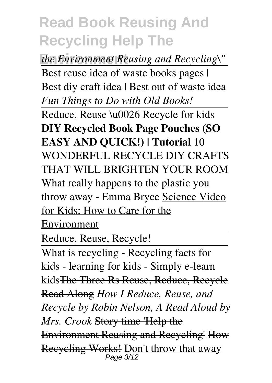**Environment** *the Environment Reusing and Recycling\"*

Best reuse idea of waste books pages | Best diy craft idea | Best out of waste idea *Fun Things to Do with Old Books!*

Reduce, Reuse \u0026 Recycle for kids **DIY Recycled Book Page Pouches (SO EASY AND QUICK!) | Tutorial** 10 WONDERFUL RECYCLE DIY CRAFTS THAT WILL BRIGHTEN YOUR ROOM What really happens to the plastic you throw away - Emma Bryce Science Video for Kids: How to Care for the

Environment

Reduce, Reuse, Recycle!

What is recycling - Recycling facts for kids - learning for kids - Simply e-learn kidsThe Three Rs Reuse, Reduce, Recycle Read Along *How I Reduce, Reuse, and Recycle by Robin Nelson, A Read Aloud by Mrs. Crook* Story time 'Help the Environment Reusing and Recycling' How Recycling Works! Don't throw that away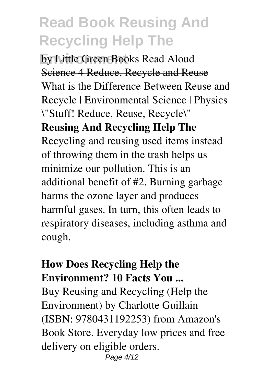**Environmental Books Read Aloud** Science 4 Reduce, Recycle and Reuse What is the Difference Between Reuse and Recycle | Environmental Science | Physics \"Stuff! Reduce, Reuse, Recycle\" **Reusing And Recycling Help The** Recycling and reusing used items instead of throwing them in the trash helps us minimize our pollution. This is an additional benefit of #2. Burning garbage harms the ozone layer and produces harmful gases. In turn, this often leads to respiratory diseases, including asthma and cough.

#### **How Does Recycling Help the Environment? 10 Facts You ...**

Buy Reusing and Recycling (Help the Environment) by Charlotte Guillain (ISBN: 9780431192253) from Amazon's Book Store. Everyday low prices and free delivery on eligible orders. Page 4/12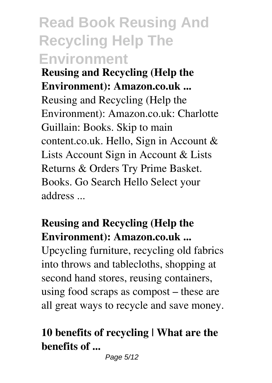# **Read Book Reusing And Recycling Help The Environment**

**Reusing and Recycling (Help the Environment): Amazon.co.uk ...** Reusing and Recycling (Help the Environment): Amazon.co.uk: Charlotte Guillain: Books. Skip to main content.co.uk. Hello, Sign in Account & Lists Account Sign in Account & Lists Returns & Orders Try Prime Basket. Books. Go Search Hello Select your address ...

### **Reusing and Recycling (Help the Environment): Amazon.co.uk ...**

Upcycling furniture, recycling old fabrics into throws and tablecloths, shopping at second hand stores, reusing containers, using food scraps as compost – these are all great ways to recycle and save money.

### **10 benefits of recycling | What are the benefits of ...**

Page 5/12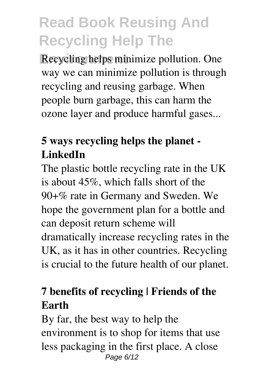**Recycling helps minimize pollution. One** way we can minimize pollution is through recycling and reusing garbage. When people burn garbage, this can harm the ozone layer and produce harmful gases...

### **5 ways recycling helps the planet - LinkedIn**

The plastic bottle recycling rate in the UK is about 45%, which falls short of the 90+% rate in Germany and Sweden. We hope the government plan for a bottle and can deposit return scheme will dramatically increase recycling rates in the UK, as it has in other countries. Recycling is crucial to the future health of our planet.

### **7 benefits of recycling | Friends of the Earth**

By far, the best way to help the environment is to shop for items that use less packaging in the first place. A close Page 6/12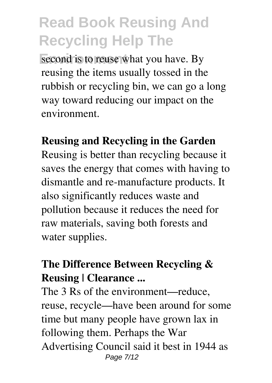second is to reuse what you have. By reusing the items usually tossed in the rubbish or recycling bin, we can go a long way toward reducing our impact on the environment.

#### **Reusing and Recycling in the Garden**

Reusing is better than recycling because it saves the energy that comes with having to dismantle and re-manufacture products. It also significantly reduces waste and pollution because it reduces the need for raw materials, saving both forests and water supplies.

### **The Difference Between Recycling & Reusing | Clearance ...**

The 3 Rs of the environment—reduce, reuse, recycle—have been around for some time but many people have grown lax in following them. Perhaps the War Advertising Council said it best in 1944 as Page 7/12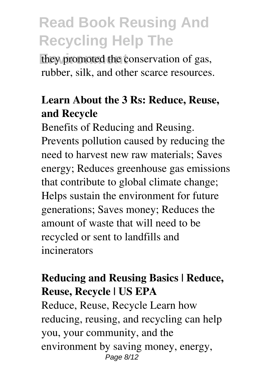they promoted the conservation of gas, rubber, silk, and other scarce resources.

#### **Learn About the 3 Rs: Reduce, Reuse, and Recycle**

Benefits of Reducing and Reusing. Prevents pollution caused by reducing the need to harvest new raw materials; Saves energy; Reduces greenhouse gas emissions that contribute to global climate change; Helps sustain the environment for future generations; Saves money; Reduces the amount of waste that will need to be recycled or sent to landfills and incinerators

### **Reducing and Reusing Basics | Reduce, Reuse, Recycle | US EPA**

Reduce, Reuse, Recycle Learn how reducing, reusing, and recycling can help you, your community, and the environment by saving money, energy, Page 8/12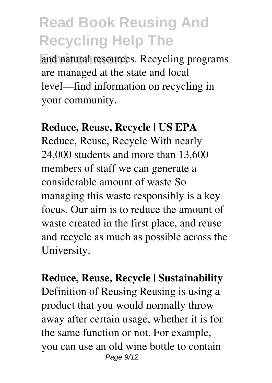and natural resources. Recycling programs are managed at the state and local level—find information on recycling in your community.

#### **Reduce, Reuse, Recycle | US EPA**

Reduce, Reuse, Recycle With nearly 24,000 students and more than 13,600 members of staff we can generate a considerable amount of waste So managing this waste responsibly is a key focus. Our aim is to reduce the amount of waste created in the first place, and reuse and recycle as much as possible across the University.

**Reduce, Reuse, Recycle | Sustainability** Definition of Reusing Reusing is using a product that you would normally throw away after certain usage, whether it is for the same function or not. For example, you can use an old wine bottle to contain Page 9/12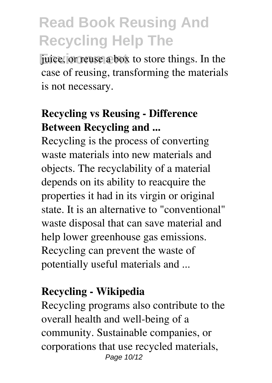juice, or reuse a box to store things. In the case of reusing, transforming the materials is not necessary.

### **Recycling vs Reusing - Difference Between Recycling and ...**

Recycling is the process of converting waste materials into new materials and objects. The recyclability of a material depends on its ability to reacquire the properties it had in its virgin or original state. It is an alternative to "conventional" waste disposal that can save material and help lower greenhouse gas emissions. Recycling can prevent the waste of potentially useful materials and ...

#### **Recycling - Wikipedia**

Recycling programs also contribute to the overall health and well-being of a community. Sustainable companies, or corporations that use recycled materials, Page 10/12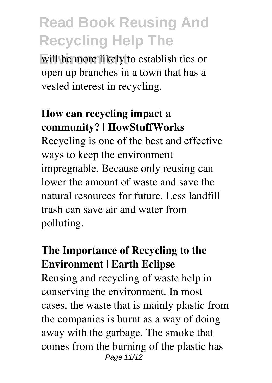will be more likely to establish ties or open up branches in a town that has a vested interest in recycling.

#### **How can recycling impact a community? | HowStuffWorks**

Recycling is one of the best and effective ways to keep the environment impregnable. Because only reusing can lower the amount of waste and save the natural resources for future. Less landfill trash can save air and water from polluting.

### **The Importance of Recycling to the Environment | Earth Eclipse**

Reusing and recycling of waste help in conserving the environment. In most cases, the waste that is mainly plastic from the companies is burnt as a way of doing away with the garbage. The smoke that comes from the burning of the plastic has Page 11/12